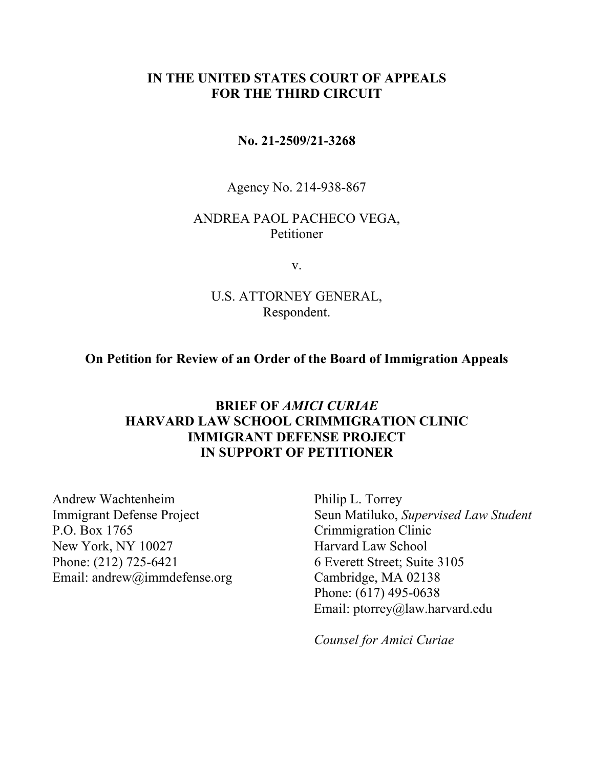### **IN THE UNITED STATES COURT OF APPEALS FOR THE THIRD CIRCUIT**

#### **No. 21-2509/21-3268**

Agency No. 214-938-867

#### ANDREA PAOL PACHECO VEGA, Petitioner

v.

#### U.S. ATTORNEY GENERAL, Respondent.

**On Petition for Review of an Order of the Board of Immigration Appeals** 

### **BRIEF OF** *AMICI CURIAE* **HARVARD LAW SCHOOL CRIMMIGRATION CLINIC IMMIGRANT DEFENSE PROJECT IN SUPPORT OF PETITIONER**

Andrew Wachtenheim Immigrant Defense Project P.O. Box 1765 New York, NY 10027 Phone: (212) 725-6421 Email: andrew@immdefense.org

Philip L. Torrey Seun Matiluko, *Supervised Law Student* Crimmigration Clinic Harvard Law School 6 Everett Street; Suite 3105 Cambridge, MA 02138 Phone: (617) 495-0638 Email: ptorrey@law.harvard.edu

*Counsel for Amici Curiae*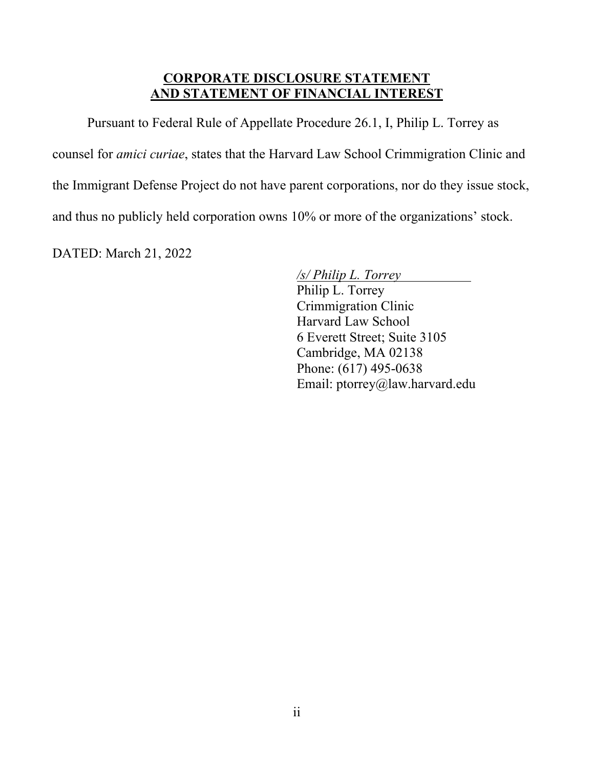## **CORPORATE DISCLOSURE STATEMENT AND STATEMENT OF FINANCIAL INTEREST**

Pursuant to Federal Rule of Appellate Procedure 26.1, I, Philip L. Torrey as

counsel for *amici curiae*, states that the Harvard Law School Crimmigration Clinic and

the Immigrant Defense Project do not have parent corporations, nor do they issue stock,

and thus no publicly held corporation owns 10% or more of the organizations' stock.

DATED: March 21, 2022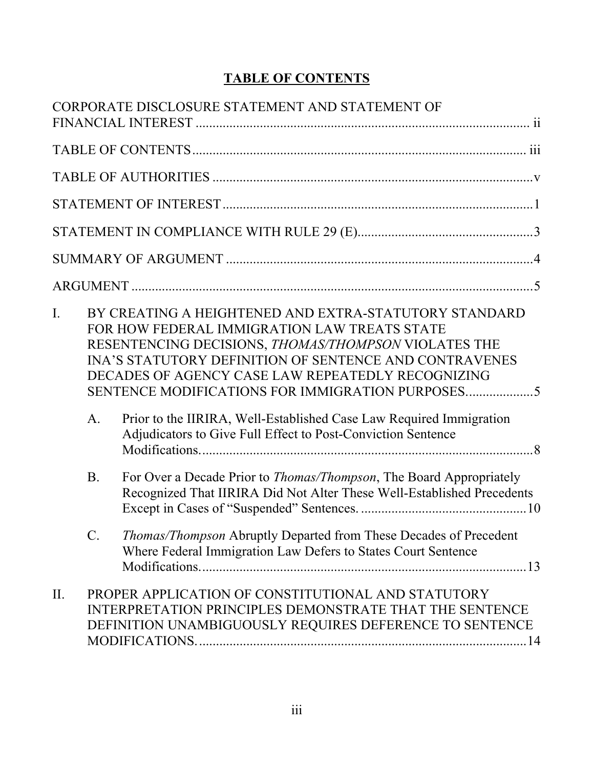# **TABLE OF CONTENTS**

|                |                 | CORPORATE DISCLOSURE STATEMENT AND STATEMENT OF                                                                                                                                                                                                                                                                                                                                                                                                                               |
|----------------|-----------------|-------------------------------------------------------------------------------------------------------------------------------------------------------------------------------------------------------------------------------------------------------------------------------------------------------------------------------------------------------------------------------------------------------------------------------------------------------------------------------|
|                |                 |                                                                                                                                                                                                                                                                                                                                                                                                                                                                               |
|                |                 |                                                                                                                                                                                                                                                                                                                                                                                                                                                                               |
|                |                 |                                                                                                                                                                                                                                                                                                                                                                                                                                                                               |
|                |                 |                                                                                                                                                                                                                                                                                                                                                                                                                                                                               |
|                |                 |                                                                                                                                                                                                                                                                                                                                                                                                                                                                               |
|                |                 |                                                                                                                                                                                                                                                                                                                                                                                                                                                                               |
| $\mathbf{I}$ . | A.              | BY CREATING A HEIGHTENED AND EXTRA-STATUTORY STANDARD<br>FOR HOW FEDERAL IMMIGRATION LAW TREATS STATE<br>RESENTENCING DECISIONS, THOMAS/THOMPSON VIOLATES THE<br><b>INA'S STATUTORY DEFINITION OF SENTENCE AND CONTRAVENES</b><br>DECADES OF AGENCY CASE LAW REPEATEDLY RECOGNIZING<br>SENTENCE MODIFICATIONS FOR IMMIGRATION PURPOSES<br>Prior to the IIRIRA, Well-Established Case Law Required Immigration<br>Adjudicators to Give Full Effect to Post-Conviction Sentence |
|                | <b>B.</b>       | For Over a Decade Prior to <i>Thomas/Thompson</i> , The Board Appropriately<br>Recognized That IIRIRA Did Not Alter These Well-Established Precedents                                                                                                                                                                                                                                                                                                                         |
|                | $\mathcal{C}$ . | Thomas/Thompson Abruptly Departed from These Decades of Precedent<br>Where Federal Immigration Law Defers to States Court Sentence                                                                                                                                                                                                                                                                                                                                            |
| II.            |                 | PROPER APPLICATION OF CONSTITUTIONAL AND STATUTORY<br>INTERPRETATION PRINCIPLES DEMONSTRATE THAT THE SENTENCE<br>DEFINITION UNAMBIGUOUSLY REQUIRES DEFERENCE TO SENTENCE                                                                                                                                                                                                                                                                                                      |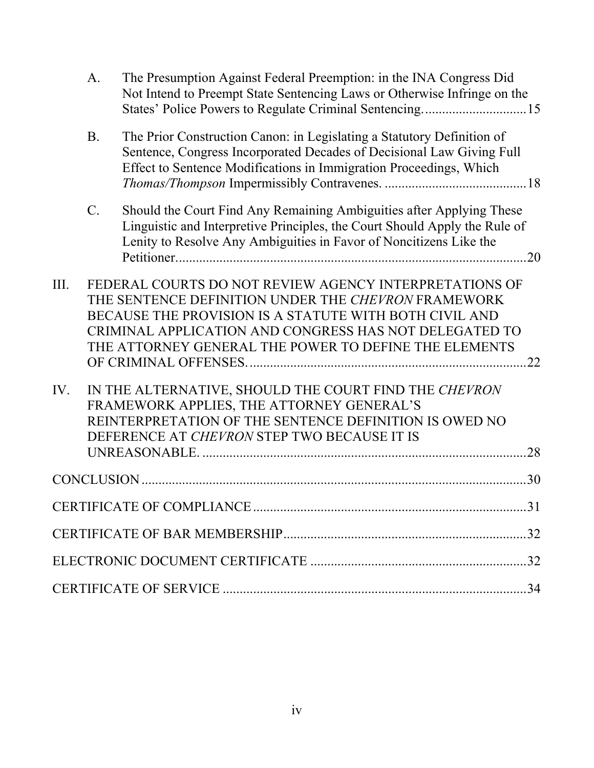|      | A.          | The Presumption Against Federal Preemption: in the INA Congress Did<br>Not Intend to Preempt State Sentencing Laws or Otherwise Infringe on the                                                                                                                                            |     |
|------|-------------|--------------------------------------------------------------------------------------------------------------------------------------------------------------------------------------------------------------------------------------------------------------------------------------------|-----|
|      | <b>B.</b>   | The Prior Construction Canon: in Legislating a Statutory Definition of<br>Sentence, Congress Incorporated Decades of Decisional Law Giving Full<br>Effect to Sentence Modifications in Immigration Proceedings, Which                                                                      |     |
|      | $C_{\cdot}$ | Should the Court Find Any Remaining Ambiguities after Applying These<br>Linguistic and Interpretive Principles, the Court Should Apply the Rule of<br>Lenity to Resolve Any Ambiguities in Favor of Noncitizens Like the                                                                   |     |
| III. |             | FEDERAL COURTS DO NOT REVIEW AGENCY INTERPRETATIONS OF<br>THE SENTENCE DEFINITION UNDER THE CHEVRON FRAMEWORK<br>BECAUSE THE PROVISION IS A STATUTE WITH BOTH CIVIL AND<br>CRIMINAL APPLICATION AND CONGRESS HAS NOT DELEGATED TO<br>THE ATTORNEY GENERAL THE POWER TO DEFINE THE ELEMENTS | .22 |
| IV.  |             | IN THE ALTERNATIVE, SHOULD THE COURT FIND THE CHEVRON<br>FRAMEWORK APPLIES, THE ATTORNEY GENERAL'S<br>REINTERPRETATION OF THE SENTENCE DEFINITION IS OWED NO<br>DEFERENCE AT CHEVRON STEP TWO BECAUSE IT IS                                                                                | 28  |
|      |             |                                                                                                                                                                                                                                                                                            | .30 |
|      |             |                                                                                                                                                                                                                                                                                            |     |
|      |             |                                                                                                                                                                                                                                                                                            |     |
|      |             |                                                                                                                                                                                                                                                                                            |     |
|      |             | <b>CERTIFICATE OF SERVICE</b>                                                                                                                                                                                                                                                              | 34  |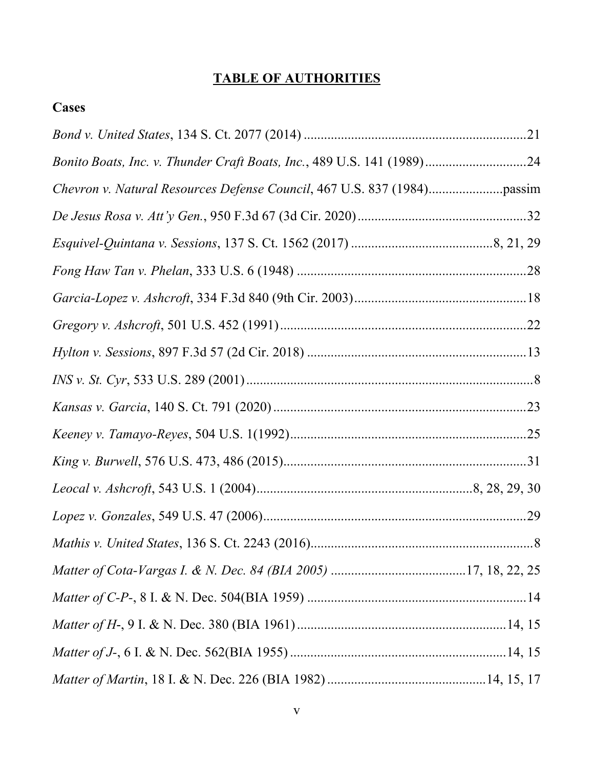# **TABLE OF AUTHORITIES**

# **Cases**

| Bonito Boats, Inc. v. Thunder Craft Boats, Inc., 489 U.S. 141 (1989)24 |
|------------------------------------------------------------------------|
|                                                                        |
|                                                                        |
|                                                                        |
|                                                                        |
|                                                                        |
|                                                                        |
|                                                                        |
|                                                                        |
|                                                                        |
|                                                                        |
|                                                                        |
|                                                                        |
|                                                                        |
|                                                                        |
|                                                                        |
|                                                                        |
|                                                                        |
|                                                                        |
|                                                                        |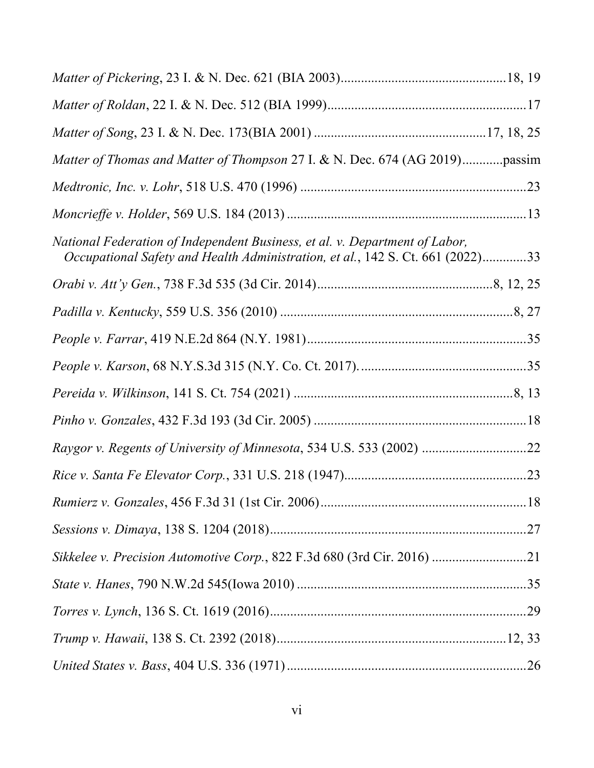| Matter of Thomas and Matter of Thompson 27 I. & N. Dec. 674 (AG 2019)passim                                                                                   |
|---------------------------------------------------------------------------------------------------------------------------------------------------------------|
|                                                                                                                                                               |
|                                                                                                                                                               |
| National Federation of Independent Business, et al. v. Department of Labor,<br>Occupational Safety and Health Administration, et al., 142 S. Ct. 661 (2022)33 |
|                                                                                                                                                               |
|                                                                                                                                                               |
|                                                                                                                                                               |
|                                                                                                                                                               |
|                                                                                                                                                               |
|                                                                                                                                                               |
|                                                                                                                                                               |
|                                                                                                                                                               |
|                                                                                                                                                               |
|                                                                                                                                                               |
|                                                                                                                                                               |
|                                                                                                                                                               |
|                                                                                                                                                               |
|                                                                                                                                                               |
|                                                                                                                                                               |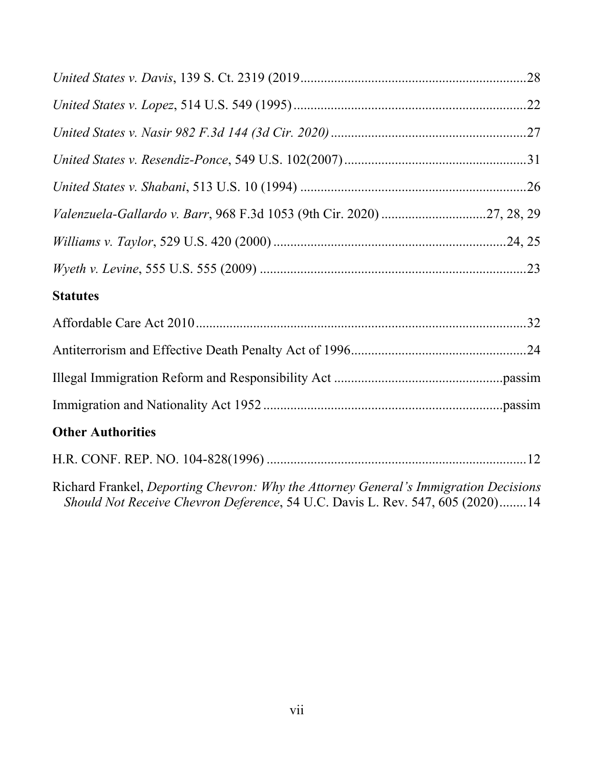| <b>Statutes</b>                                                                                                                                                       |
|-----------------------------------------------------------------------------------------------------------------------------------------------------------------------|
|                                                                                                                                                                       |
|                                                                                                                                                                       |
|                                                                                                                                                                       |
|                                                                                                                                                                       |
| <b>Other Authorities</b>                                                                                                                                              |
|                                                                                                                                                                       |
| Richard Frankel, Deporting Chevron: Why the Attorney General's Immigration Decisions<br>Should Not Receive Chevron Deference, 54 U.C. Davis L. Rev. 547, 605 (2020)14 |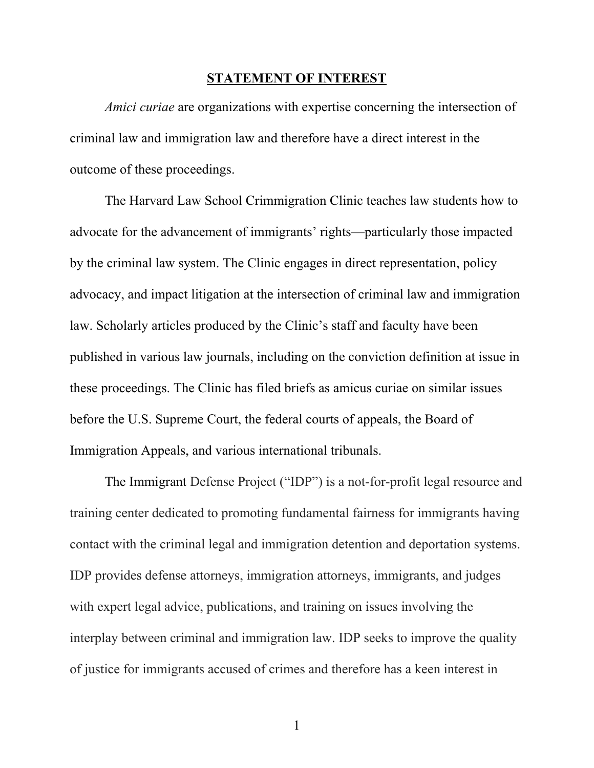#### **STATEMENT OF INTEREST**

*Amici curiae* are organizations with expertise concerning the intersection of criminal law and immigration law and therefore have a direct interest in the outcome of these proceedings.

The Harvard Law School Crimmigration Clinic teaches law students how to advocate for the advancement of immigrants' rights—particularly those impacted by the criminal law system. The Clinic engages in direct representation, policy advocacy, and impact litigation at the intersection of criminal law and immigration law. Scholarly articles produced by the Clinic's staff and faculty have been published in various law journals, including on the conviction definition at issue in these proceedings. The Clinic has filed briefs as amicus curiae on similar issues before the U.S. Supreme Court, the federal courts of appeals, the Board of Immigration Appeals, and various international tribunals.

The Immigrant Defense Project ("IDP") is a not-for-profit legal resource and training center dedicated to promoting fundamental fairness for immigrants having contact with the criminal legal and immigration detention and deportation systems. IDP provides defense attorneys, immigration attorneys, immigrants, and judges with expert legal advice, publications, and training on issues involving the interplay between criminal and immigration law. IDP seeks to improve the quality of justice for immigrants accused of crimes and therefore has a keen interest in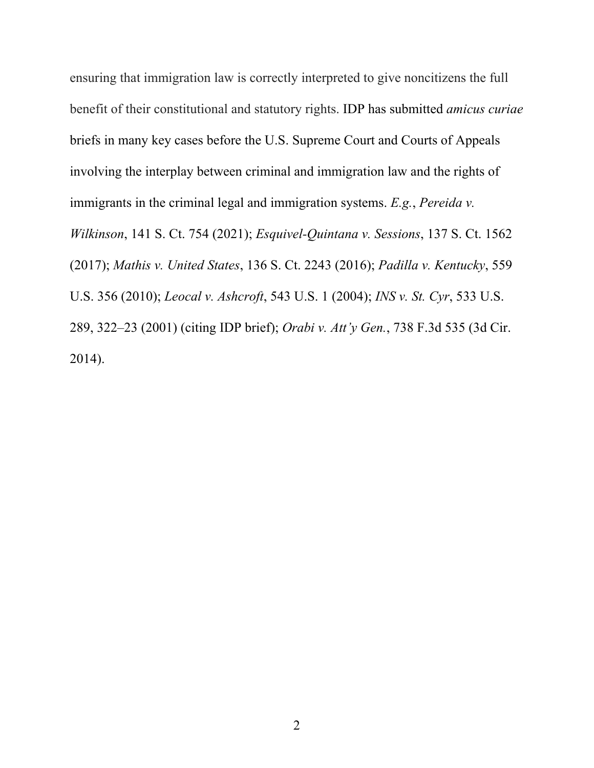ensuring that immigration law is correctly interpreted to give noncitizens the full benefit of their constitutional and statutory rights. IDP has submitted *amicus curiae* briefs in many key cases before the U.S. Supreme Court and Courts of Appeals involving the interplay between criminal and immigration law and the rights of immigrants in the criminal legal and immigration systems. *E.g.*, *Pereida v. Wilkinson*, 141 S. Ct. 754 (2021); *Esquivel-Quintana v. Sessions*, 137 S. Ct. 1562 (2017); *Mathis v. United States*, 136 S. Ct. 2243 (2016); *Padilla v. Kentucky*, 559 U.S. 356 (2010); *Leocal v. Ashcroft*, 543 U.S. 1 (2004); *INS v. St. Cyr*, 533 U.S. 289, 322–23 (2001) (citing IDP brief); *Orabi v. Att'y Gen.*, 738 F.3d 535 (3d Cir. 2014).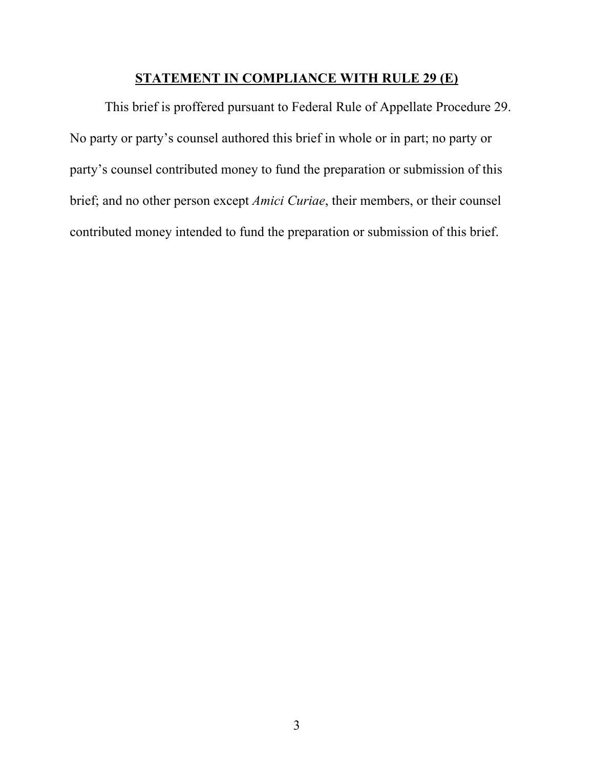#### **STATEMENT IN COMPLIANCE WITH RULE 29 (E)**

This brief is proffered pursuant to Federal Rule of Appellate Procedure 29. No party or party's counsel authored this brief in whole or in part; no party or party's counsel contributed money to fund the preparation or submission of this brief; and no other person except *Amici Curiae*, their members, or their counsel contributed money intended to fund the preparation or submission of this brief.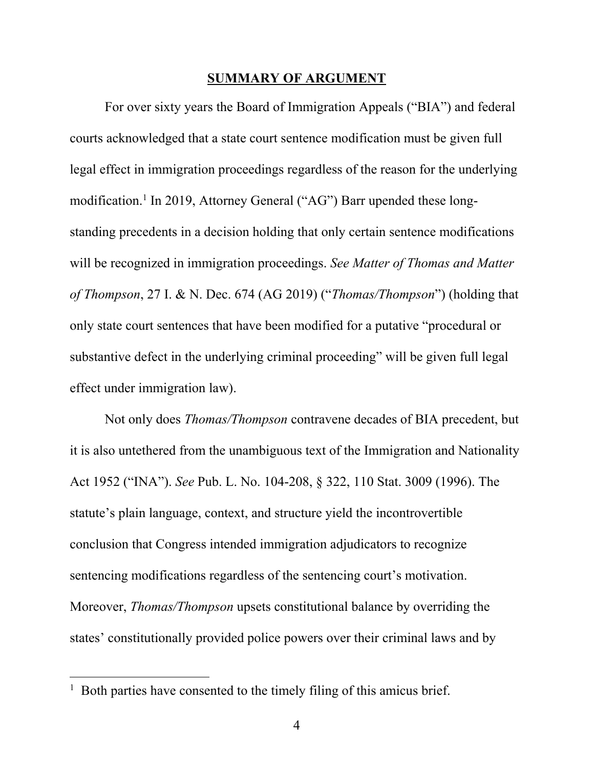#### **SUMMARY OF ARGUMENT**

For over sixty years the Board of Immigration Appeals ("BIA") and federal courts acknowledged that a state court sentence modification must be given full legal effect in immigration proceedings regardless of the reason for the underlying modification.<sup>1</sup> In 2019, Attorney General ("AG") Barr upended these longstanding precedents in a decision holding that only certain sentence modifications will be recognized in immigration proceedings. *See Matter of Thomas and Matter of Thompson*, 27 I. & N. Dec. 674 (AG 2019) ("*Thomas/Thompson*") (holding that only state court sentences that have been modified for a putative "procedural or substantive defect in the underlying criminal proceeding" will be given full legal effect under immigration law).

Not only does *Thomas/Thompson* contravene decades of BIA precedent, but it is also untethered from the unambiguous text of the Immigration and Nationality Act 1952 ("INA"). *See* Pub. L. No. 104-208, § 322, 110 Stat. 3009 (1996). The statute's plain language, context, and structure yield the incontrovertible conclusion that Congress intended immigration adjudicators to recognize sentencing modifications regardless of the sentencing court's motivation. Moreover, *Thomas/Thompson* upsets constitutional balance by overriding the states' constitutionally provided police powers over their criminal laws and by

 $\overline{a}$ 

<sup>&</sup>lt;sup>1</sup> Both parties have consented to the timely filing of this amicus brief.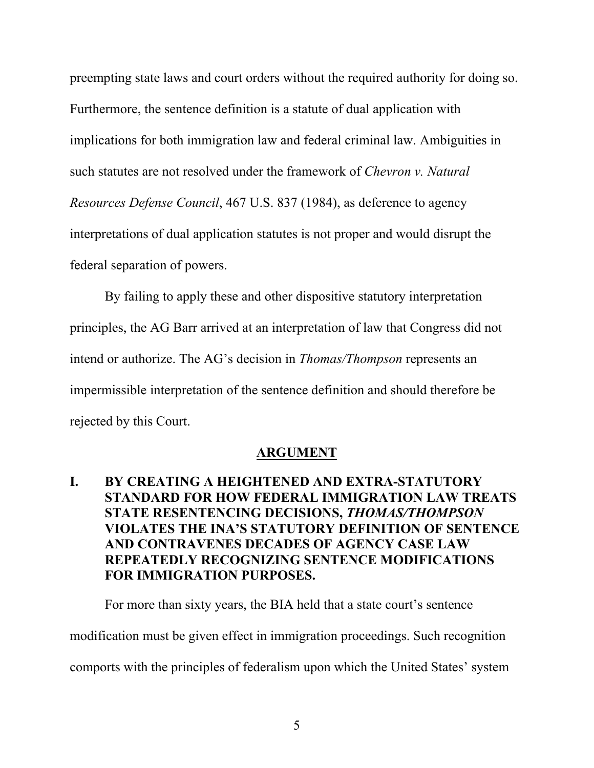preempting state laws and court orders without the required authority for doing so. Furthermore, the sentence definition is a statute of dual application with implications for both immigration law and federal criminal law. Ambiguities in such statutes are not resolved under the framework of *Chevron v. Natural Resources Defense Council*, 467 U.S. 837 (1984), as deference to agency interpretations of dual application statutes is not proper and would disrupt the federal separation of powers.

By failing to apply these and other dispositive statutory interpretation principles, the AG Barr arrived at an interpretation of law that Congress did not intend or authorize. The AG's decision in *Thomas/Thompson* represents an impermissible interpretation of the sentence definition and should therefore be rejected by this Court.

#### **ARGUMENT**

# **I. BY CREATING A HEIGHTENED AND EXTRA-STATUTORY STANDARD FOR HOW FEDERAL IMMIGRATION LAW TREATS STATE RESENTENCING DECISIONS,** *THOMAS/THOMPSON* **VIOLATES THE INA'S STATUTORY DEFINITION OF SENTENCE AND CONTRAVENES DECADES OF AGENCY CASE LAW REPEATEDLY RECOGNIZING SENTENCE MODIFICATIONS FOR IMMIGRATION PURPOSES.**

For more than sixty years, the BIA held that a state court's sentence modification must be given effect in immigration proceedings. Such recognition comports with the principles of federalism upon which the United States' system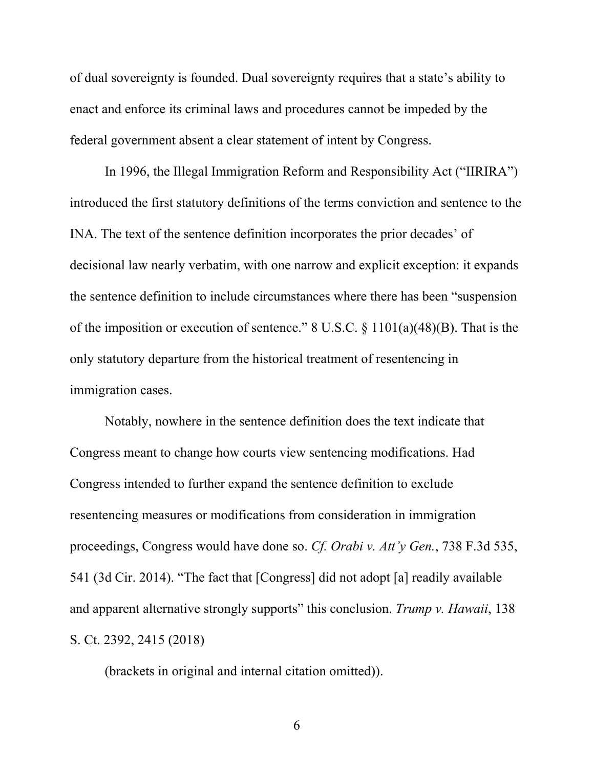of dual sovereignty is founded. Dual sovereignty requires that a state's ability to enact and enforce its criminal laws and procedures cannot be impeded by the federal government absent a clear statement of intent by Congress.

In 1996, the Illegal Immigration Reform and Responsibility Act ("IIRIRA") introduced the first statutory definitions of the terms conviction and sentence to the INA. The text of the sentence definition incorporates the prior decades' of decisional law nearly verbatim, with one narrow and explicit exception: it expands the sentence definition to include circumstances where there has been "suspension of the imposition or execution of sentence." 8 U.S.C.  $\S 1101(a)(48)(B)$ . That is the only statutory departure from the historical treatment of resentencing in immigration cases.

Notably, nowhere in the sentence definition does the text indicate that Congress meant to change how courts view sentencing modifications. Had Congress intended to further expand the sentence definition to exclude resentencing measures or modifications from consideration in immigration proceedings, Congress would have done so. *Cf. Orabi v. Att'y Gen.*, 738 F.3d 535, 541 (3d Cir. 2014). "The fact that [Congress] did not adopt [a] readily available and apparent alternative strongly supports" this conclusion. *Trump v. Hawaii*, 138 S. Ct. 2392, 2415 (2018)

(brackets in original and internal citation omitted)).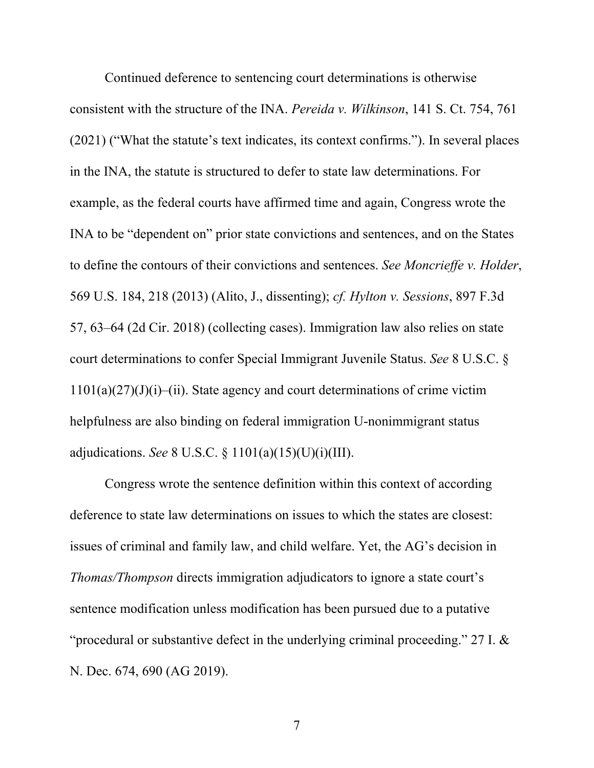Continued deference to sentencing court determinations is otherwise consistent with the structure of the INA. *Pereida v. Wilkinson*, 141 S. Ct. 754, 761 (2021) ("What the statute's text indicates, its context confirms."). In several places in the INA, the statute is structured to defer to state law determinations. For example, as the federal courts have affirmed time and again, Congress wrote the INA to be "dependent on" prior state convictions and sentences, and on the States to define the contours of their convictions and sentences. *See Moncrieffe v. Holder*, 569 U.S. 184, 218 (2013) (Alito, J., dissenting); *cf. Hylton v. Sessions*, 897 F.3d 57, 63–64 (2d Cir. 2018) (collecting cases). Immigration law also relies on state court determinations to confer Special Immigrant Juvenile Status. *See* 8 U.S.C. §  $1101(a)(27)(J)(i)$ –(ii). State agency and court determinations of crime victim helpfulness are also binding on federal immigration U-nonimmigrant status adjudications. *See* 8 U.S.C. § 1101(a)(15)(U)(i)(III).

Congress wrote the sentence definition within this context of according deference to state law determinations on issues to which the states are closest: issues of criminal and family law, and child welfare. Yet, the AG's decision in *Thomas/Thompson* directs immigration adjudicators to ignore a state court's sentence modification unless modification has been pursued due to a putative "procedural or substantive defect in the underlying criminal proceeding." 27 I. & N. Dec. 674, 690 (AG 2019).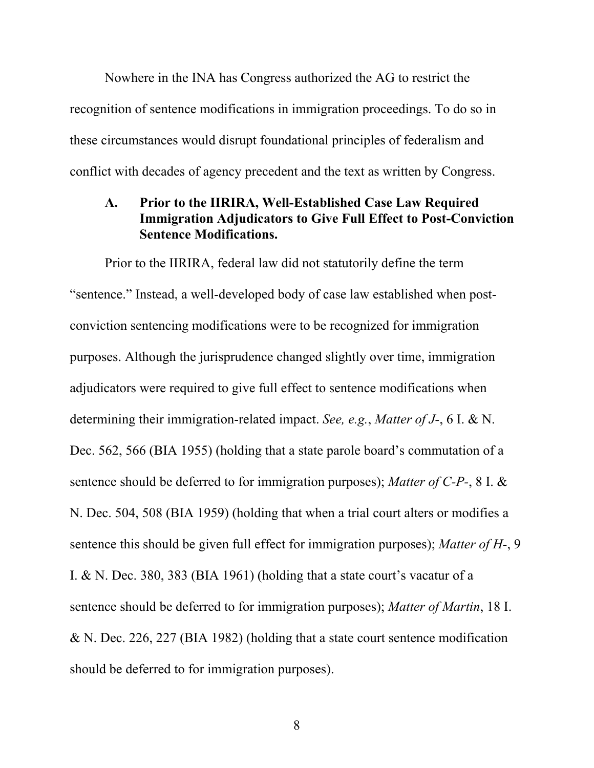Nowhere in the INA has Congress authorized the AG to restrict the recognition of sentence modifications in immigration proceedings. To do so in these circumstances would disrupt foundational principles of federalism and conflict with decades of agency precedent and the text as written by Congress.

#### **A. Prior to the IIRIRA, Well-Established Case Law Required Immigration Adjudicators to Give Full Effect to Post-Conviction Sentence Modifications.**

Prior to the IIRIRA, federal law did not statutorily define the term "sentence." Instead, a well-developed body of case law established when postconviction sentencing modifications were to be recognized for immigration purposes. Although the jurisprudence changed slightly over time, immigration adjudicators were required to give full effect to sentence modifications when determining their immigration-related impact. *See, e.g.*, *Matter of J-*, 6 I. & N. Dec. 562, 566 (BIA 1955) (holding that a state parole board's commutation of a sentence should be deferred to for immigration purposes); *Matter of C-P-*, 8 I. & N. Dec. 504, 508 (BIA 1959) (holding that when a trial court alters or modifies a sentence this should be given full effect for immigration purposes); *Matter of H*-, 9 I. & N. Dec. 380, 383 (BIA 1961) (holding that a state court's vacatur of a sentence should be deferred to for immigration purposes); *Matter of Martin*, 18 I. & N. Dec. 226, 227 (BIA 1982) (holding that a state court sentence modification should be deferred to for immigration purposes).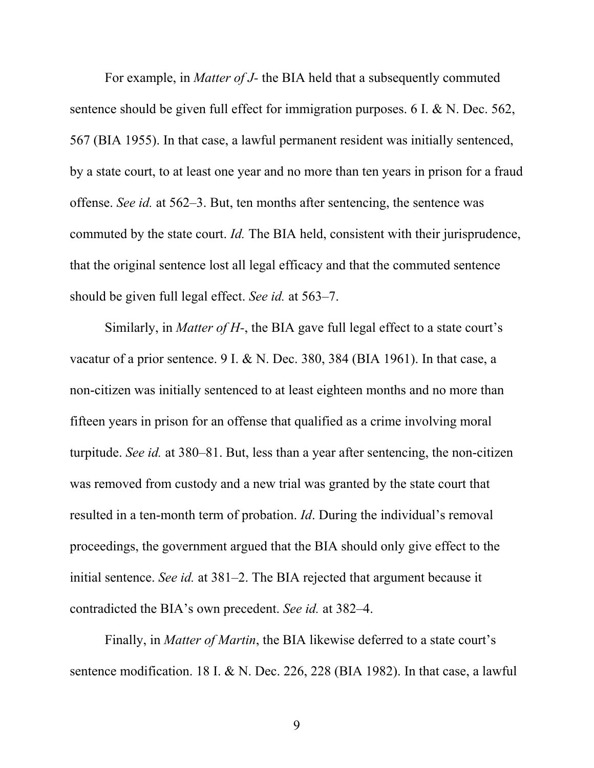For example, in *Matter of J-* the BIA held that a subsequently commuted sentence should be given full effect for immigration purposes. 6 I. & N. Dec. 562, 567 (BIA 1955). In that case, a lawful permanent resident was initially sentenced, by a state court, to at least one year and no more than ten years in prison for a fraud offense. *See id.* at 562–3. But, ten months after sentencing, the sentence was commuted by the state court. *Id.* The BIA held, consistent with their jurisprudence, that the original sentence lost all legal efficacy and that the commuted sentence should be given full legal effect. *See id.* at 563–7.

Similarly, in *Matter of H-*, the BIA gave full legal effect to a state court's vacatur of a prior sentence. 9 I. & N. Dec. 380, 384 (BIA 1961). In that case, a non-citizen was initially sentenced to at least eighteen months and no more than fifteen years in prison for an offense that qualified as a crime involving moral turpitude. *See id.* at 380–81. But, less than a year after sentencing, the non-citizen was removed from custody and a new trial was granted by the state court that resulted in a ten-month term of probation. *Id*. During the individual's removal proceedings, the government argued that the BIA should only give effect to the initial sentence. *See id.* at 381–2. The BIA rejected that argument because it contradicted the BIA's own precedent. *See id.* at 382–4.

Finally, in *Matter of Martin*, the BIA likewise deferred to a state court's sentence modification. 18 I. & N. Dec. 226, 228 (BIA 1982). In that case, a lawful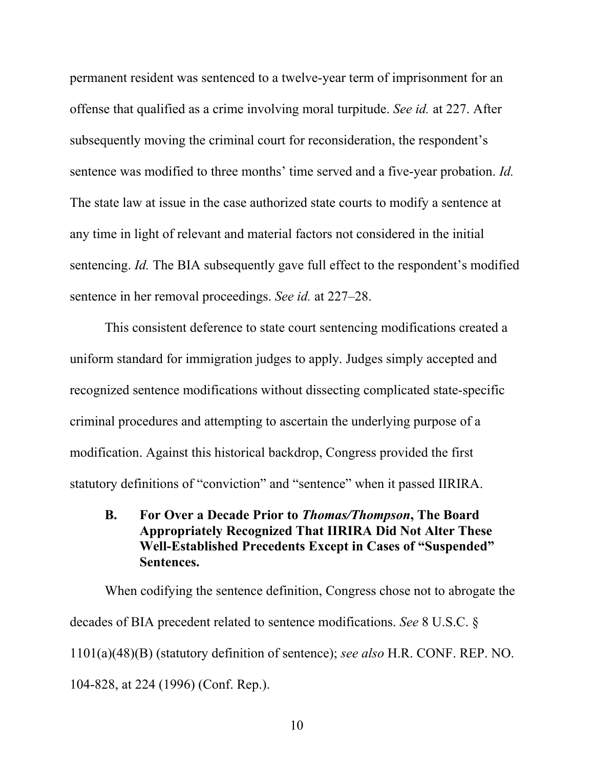permanent resident was sentenced to a twelve-year term of imprisonment for an offense that qualified as a crime involving moral turpitude. *See id.* at 227. After subsequently moving the criminal court for reconsideration, the respondent's sentence was modified to three months' time served and a five-year probation. *Id.* The state law at issue in the case authorized state courts to modify a sentence at any time in light of relevant and material factors not considered in the initial sentencing. *Id.* The BIA subsequently gave full effect to the respondent's modified sentence in her removal proceedings. *See id.* at 227–28.

This consistent deference to state court sentencing modifications created a uniform standard for immigration judges to apply. Judges simply accepted and recognized sentence modifications without dissecting complicated state-specific criminal procedures and attempting to ascertain the underlying purpose of a modification. Against this historical backdrop, Congress provided the first statutory definitions of "conviction" and "sentence" when it passed IIRIRA.

**B. For Over a Decade Prior to** *Thomas/Thompson***, The Board Appropriately Recognized That IIRIRA Did Not Alter These Well-Established Precedents Except in Cases of "Suspended" Sentences.** 

When codifying the sentence definition, Congress chose not to abrogate the decades of BIA precedent related to sentence modifications. *See* 8 U.S.C. § 1101(a)(48)(B) (statutory definition of sentence); *see also* H.R. CONF. REP. NO. 104-828, at 224 (1996) (Conf. Rep.).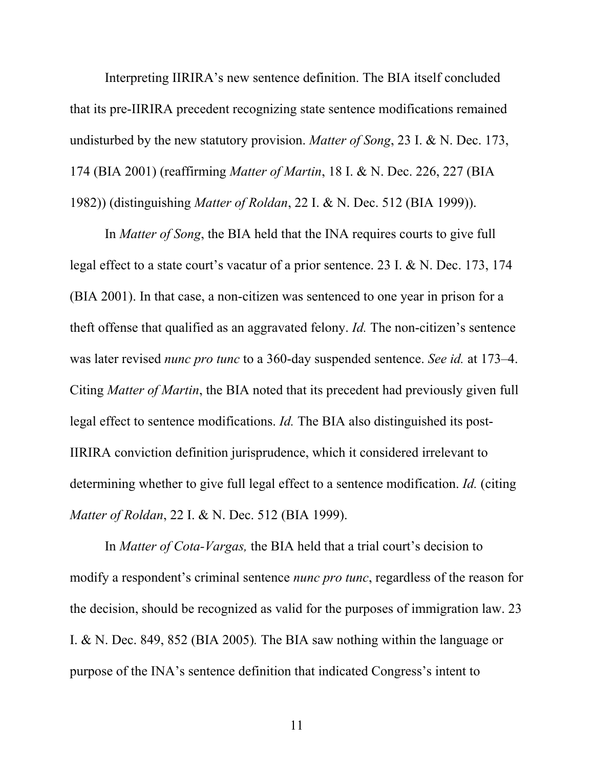Interpreting IIRIRA's new sentence definition. The BIA itself concluded that its pre-IIRIRA precedent recognizing state sentence modifications remained undisturbed by the new statutory provision. *Matter of Song*, 23 I. & N. Dec. 173, 174 (BIA 2001) (reaffirming *Matter of Martin*, 18 I. & N. Dec. 226, 227 (BIA 1982)) (distinguishing *Matter of Roldan*, 22 I. & N. Dec. 512 (BIA 1999)).

In *Matter of Song*, the BIA held that the INA requires courts to give full legal effect to a state court's vacatur of a prior sentence. 23 I. & N. Dec. 173, 174 (BIA 2001). In that case, a non-citizen was sentenced to one year in prison for a theft offense that qualified as an aggravated felony. *Id.* The non-citizen's sentence was later revised *nunc pro tunc* to a 360-day suspended sentence. *See id.* at 173–4. Citing *Matter of Martin*, the BIA noted that its precedent had previously given full legal effect to sentence modifications. *Id.* The BIA also distinguished its post-IIRIRA conviction definition jurisprudence, which it considered irrelevant to determining whether to give full legal effect to a sentence modification. *Id.* (citing *Matter of Roldan*, 22 I. & N. Dec. 512 (BIA 1999).

In *Matter of Cota-Vargas,* the BIA held that a trial court's decision to modify a respondent's criminal sentence *nunc pro tunc*, regardless of the reason for the decision, should be recognized as valid for the purposes of immigration law. 23 I. & N. Dec. 849, 852 (BIA 2005)*.* The BIA saw nothing within the language or purpose of the INA's sentence definition that indicated Congress's intent to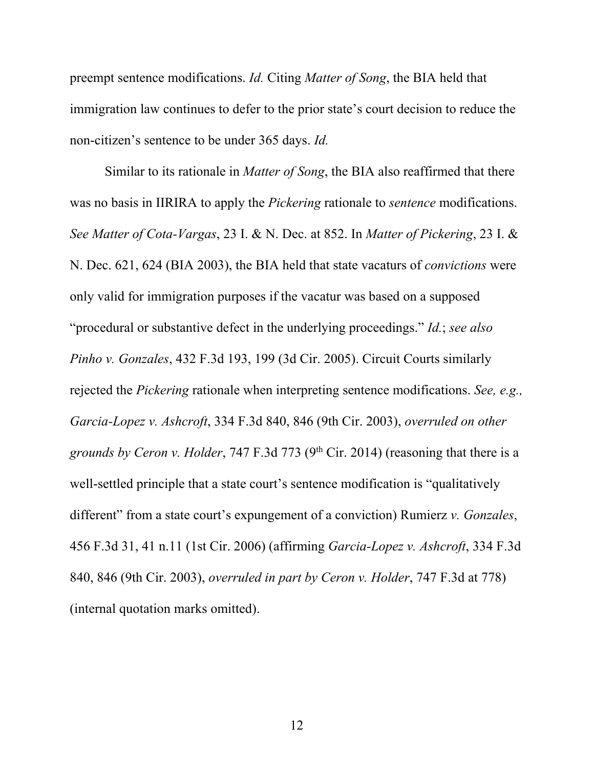preempt sentence modifications. *Id.* Citing *Matter of Song*, the BIA held that immigration law continues to defer to the prior state's court decision to reduce the non-citizen's sentence to be under 365 days. *Id.*

Similar to its rationale in *Matter of Song*, the BIA also reaffirmed that there was no basis in IIRIRA to apply the *Pickering* rationale to *sentence* modifications. *See Matter of Cota-Vargas*, 23 I. & N. Dec. at 852. In *Matter of Pickering*, 23 I. & N. Dec. 621, 624 (BIA 2003), the BIA held that state vacaturs of *convictions* were only valid for immigration purposes if the vacatur was based on a supposed "procedural or substantive defect in the underlying proceedings." *Id.*; *see also Pinho v. Gonzales*, 432 F.3d 193, 199 (3d Cir. 2005). Circuit Courts similarly rejected the *Pickering* rationale when interpreting sentence modifications. *See, e.g., Garcia-Lopez v. Ashcroft*, 334 F.3d 840, 846 (9th Cir. 2003), *overruled on other grounds by Ceron v. Holder*, 747 F.3d 773 (9th Cir. 2014) (reasoning that there is a well-settled principle that a state court's sentence modification is "qualitatively different" from a state court's expungement of a conviction) Rumierz *v. Gonzales*, 456 F.3d 31, 41 n.11 (1st Cir. 2006) (affirming *Garcia-Lopez v. Ashcroft*, 334 F.3d 840, 846 (9th Cir. 2003), *overruled in part by Ceron v. Holder*, 747 F.3d at 778) (internal quotation marks omitted).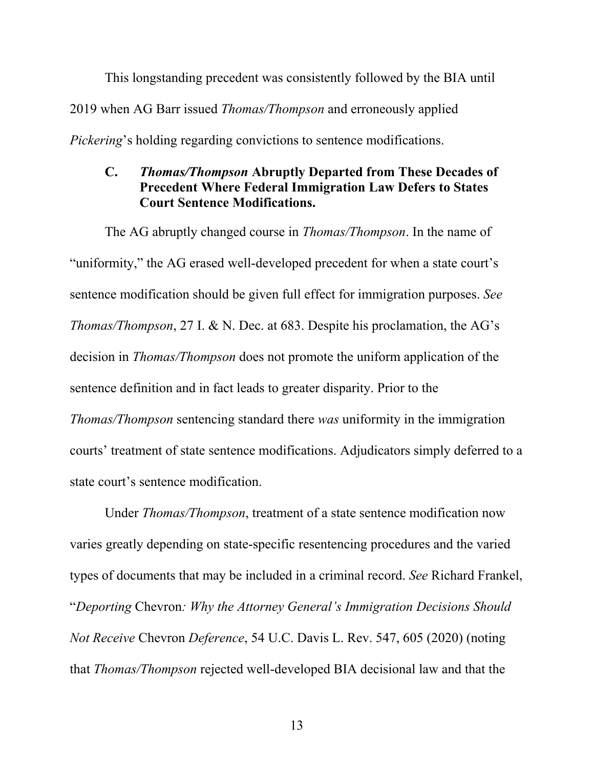This longstanding precedent was consistently followed by the BIA until 2019 when AG Barr issued *Thomas/Thompson* and erroneously applied *Pickering*'s holding regarding convictions to sentence modifications.

### **C.** *Thomas/Thompson* **Abruptly Departed from These Decades of Precedent Where Federal Immigration Law Defers to States Court Sentence Modifications.**

The AG abruptly changed course in *Thomas/Thompson*. In the name of "uniformity," the AG erased well-developed precedent for when a state court's sentence modification should be given full effect for immigration purposes. *See Thomas/Thompson*, 27 I. & N. Dec. at 683. Despite his proclamation, the AG's decision in *Thomas/Thompson* does not promote the uniform application of the sentence definition and in fact leads to greater disparity. Prior to the *Thomas/Thompson* sentencing standard there *was* uniformity in the immigration courts' treatment of state sentence modifications. Adjudicators simply deferred to a state court's sentence modification.

Under *Thomas/Thompson*, treatment of a state sentence modification now varies greatly depending on state-specific resentencing procedures and the varied types of documents that may be included in a criminal record. *See* Richard Frankel, "*Deporting* Chevron*: Why the Attorney General's Immigration Decisions Should Not Receive* Chevron *Deference*, 54 U.C. Davis L. Rev. 547, 605 (2020) (noting that *Thomas/Thompson* rejected well-developed BIA decisional law and that the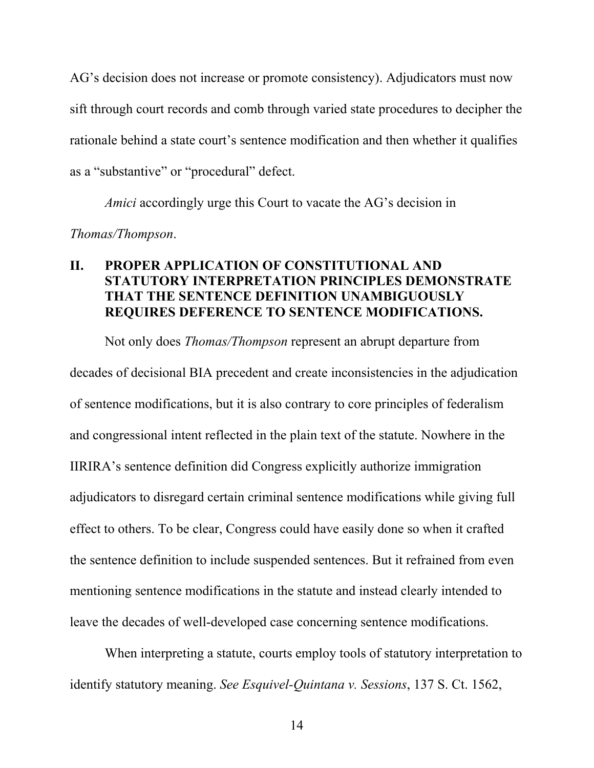AG's decision does not increase or promote consistency). Adjudicators must now sift through court records and comb through varied state procedures to decipher the rationale behind a state court's sentence modification and then whether it qualifies as a "substantive" or "procedural" defect.

*Amici* accordingly urge this Court to vacate the AG's decision in

*Thomas/Thompson*.

### **II. PROPER APPLICATION OF CONSTITUTIONAL AND STATUTORY INTERPRETATION PRINCIPLES DEMONSTRATE THAT THE SENTENCE DEFINITION UNAMBIGUOUSLY REQUIRES DEFERENCE TO SENTENCE MODIFICATIONS.**

Not only does *Thomas/Thompson* represent an abrupt departure from decades of decisional BIA precedent and create inconsistencies in the adjudication of sentence modifications, but it is also contrary to core principles of federalism and congressional intent reflected in the plain text of the statute. Nowhere in the IIRIRA's sentence definition did Congress explicitly authorize immigration adjudicators to disregard certain criminal sentence modifications while giving full effect to others. To be clear, Congress could have easily done so when it crafted the sentence definition to include suspended sentences. But it refrained from even mentioning sentence modifications in the statute and instead clearly intended to leave the decades of well-developed case concerning sentence modifications.

When interpreting a statute, courts employ tools of statutory interpretation to identify statutory meaning. *See Esquivel-Quintana v. Sessions*, 137 S. Ct. 1562,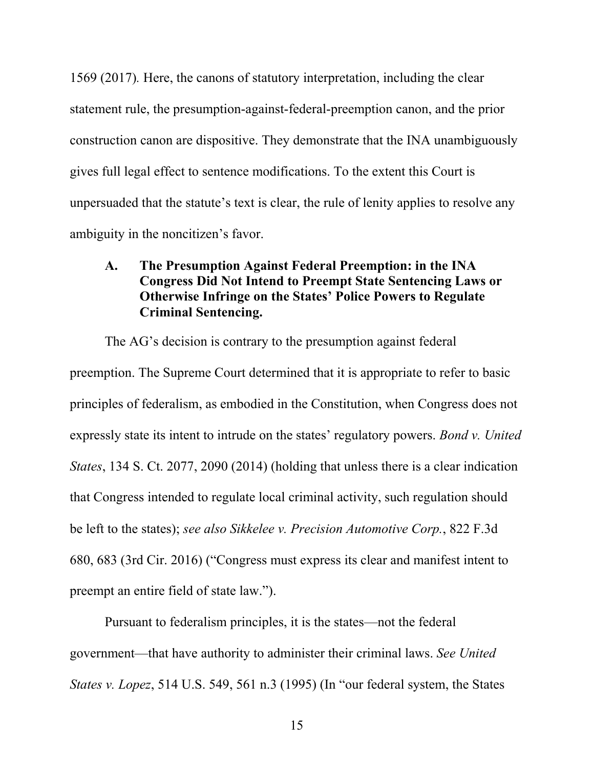1569 (2017)*.* Here, the canons of statutory interpretation, including the clear statement rule, the presumption-against-federal-preemption canon, and the prior construction canon are dispositive. They demonstrate that the INA unambiguously gives full legal effect to sentence modifications. To the extent this Court is unpersuaded that the statute's text is clear, the rule of lenity applies to resolve any ambiguity in the noncitizen's favor.

### **A. The Presumption Against Federal Preemption: in the INA Congress Did Not Intend to Preempt State Sentencing Laws or Otherwise Infringe on the States' Police Powers to Regulate Criminal Sentencing.**

The AG's decision is contrary to the presumption against federal preemption. The Supreme Court determined that it is appropriate to refer to basic principles of federalism, as embodied in the Constitution, when Congress does not expressly state its intent to intrude on the states' regulatory powers. *Bond v. United States*, 134 S. Ct. 2077, 2090 (2014) (holding that unless there is a clear indication that Congress intended to regulate local criminal activity, such regulation should be left to the states); *see also Sikkelee v. Precision Automotive Corp.*, 822 F.3d 680, 683 (3rd Cir. 2016) ("Congress must express its clear and manifest intent to preempt an entire field of state law.").

Pursuant to federalism principles, it is the states—not the federal government—that have authority to administer their criminal laws. *See United States v. Lopez*, 514 U.S. 549, 561 n.3 (1995) (In "our federal system, the States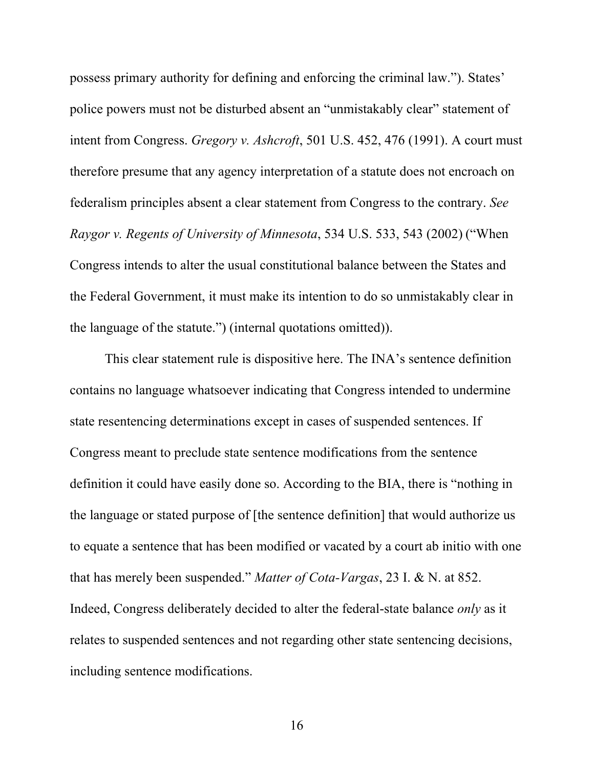possess primary authority for defining and enforcing the criminal law."). States' police powers must not be disturbed absent an "unmistakably clear" statement of intent from Congress. *Gregory v. Ashcroft*, 501 U.S. 452, 476 (1991). A court must therefore presume that any agency interpretation of a statute does not encroach on federalism principles absent a clear statement from Congress to the contrary. *See Raygor v. Regents of University of Minnesota*, 534 U.S. 533, 543 (2002) ("When Congress intends to alter the usual constitutional balance between the States and the Federal Government, it must make its intention to do so unmistakably clear in the language of the statute.") (internal quotations omitted)).

This clear statement rule is dispositive here. The INA's sentence definition contains no language whatsoever indicating that Congress intended to undermine state resentencing determinations except in cases of suspended sentences. If Congress meant to preclude state sentence modifications from the sentence definition it could have easily done so. According to the BIA, there is "nothing in the language or stated purpose of [the sentence definition] that would authorize us to equate a sentence that has been modified or vacated by a court ab initio with one that has merely been suspended." *Matter of Cota-Vargas*, 23 I. & N. at 852. Indeed, Congress deliberately decided to alter the federal-state balance *only* as it relates to suspended sentences and not regarding other state sentencing decisions, including sentence modifications.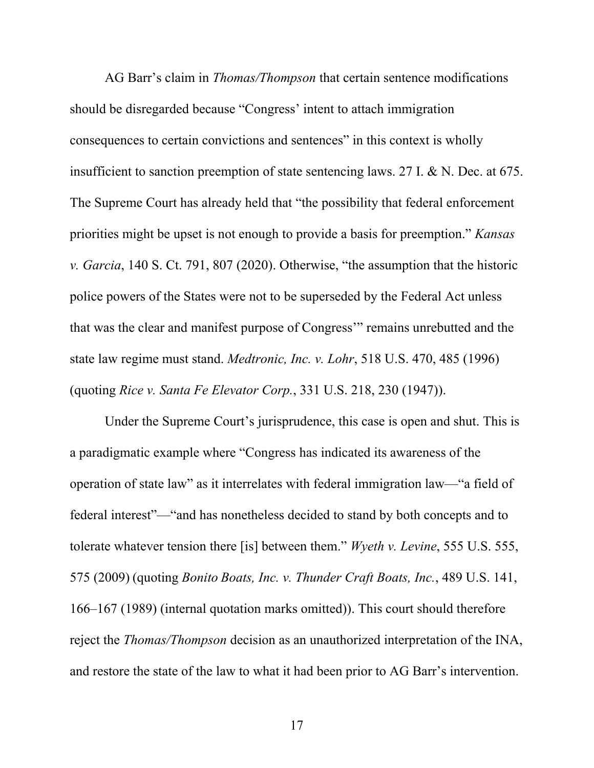AG Barr's claim in *Thomas/Thompson* that certain sentence modifications should be disregarded because "Congress' intent to attach immigration consequences to certain convictions and sentences" in this context is wholly insufficient to sanction preemption of state sentencing laws. 27 I. & N. Dec. at 675. The Supreme Court has already held that "the possibility that federal enforcement priorities might be upset is not enough to provide a basis for preemption." *Kansas v. Garcia*, 140 S. Ct. 791, 807 (2020). Otherwise, "the assumption that the historic police powers of the States were not to be superseded by the Federal Act unless that was the clear and manifest purpose of Congress'" remains unrebutted and the state law regime must stand. *Medtronic, Inc. v. Lohr*, 518 U.S. 470, 485 (1996) (quoting *Rice v. Santa Fe Elevator Corp.*, 331 U.S. 218, 230 (1947)).

Under the Supreme Court's jurisprudence, this case is open and shut. This is a paradigmatic example where "Congress has indicated its awareness of the operation of state law" as it interrelates with federal immigration law—"a field of federal interest"—"and has nonetheless decided to stand by both concepts and to tolerate whatever tension there [is] between them." *Wyeth v. Levine*, 555 U.S. 555, 575 (2009) (quoting *Bonito Boats, Inc. v. Thunder Craft Boats, Inc.*, 489 U.S. 141, 166–167 (1989) (internal quotation marks omitted)). This court should therefore reject the *Thomas/Thompson* decision as an unauthorized interpretation of the INA, and restore the state of the law to what it had been prior to AG Barr's intervention.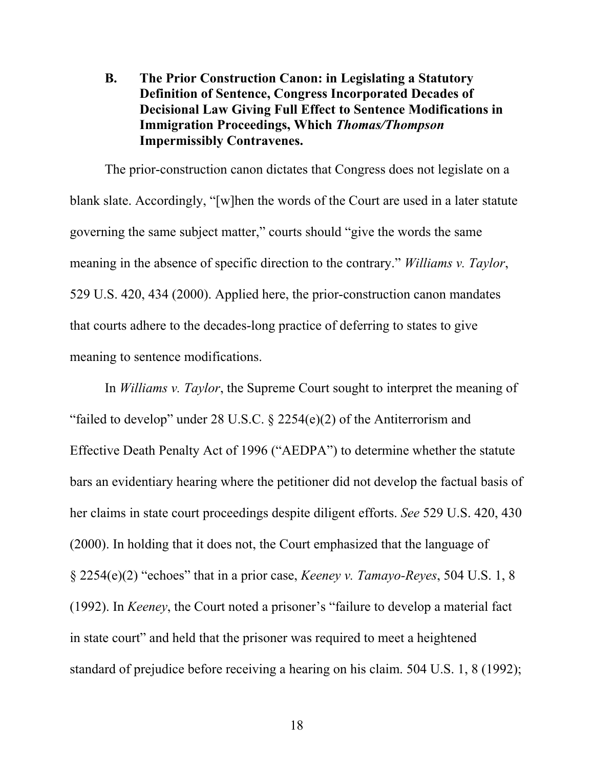**B. The Prior Construction Canon: in Legislating a Statutory Definition of Sentence, Congress Incorporated Decades of Decisional Law Giving Full Effect to Sentence Modifications in Immigration Proceedings, Which** *Thomas/Thompson* **Impermissibly Contravenes.**

The prior-construction canon dictates that Congress does not legislate on a blank slate. Accordingly, "[w]hen the words of the Court are used in a later statute governing the same subject matter," courts should "give the words the same meaning in the absence of specific direction to the contrary." *Williams v. Taylor*, 529 U.S. 420, 434 (2000). Applied here, the prior-construction canon mandates that courts adhere to the decades-long practice of deferring to states to give meaning to sentence modifications.

In *Williams v. Taylor*, the Supreme Court sought to interpret the meaning of "failed to develop" under 28 U.S.C.  $\S$  2254(e)(2) of the Antiterrorism and Effective Death Penalty Act of 1996 ("AEDPA") to determine whether the statute bars an evidentiary hearing where the petitioner did not develop the factual basis of her claims in state court proceedings despite diligent efforts. *See* 529 U.S. 420, 430 (2000). In holding that it does not, the Court emphasized that the language of § 2254(e)(2) "echoes" that in a prior case, *Keeney v. Tamayo-Reyes*, 504 U.S. 1, 8 (1992). In *Keeney*, the Court noted a prisoner's "failure to develop a material fact in state court" and held that the prisoner was required to meet a heightened standard of prejudice before receiving a hearing on his claim. 504 U.S. 1, 8 (1992);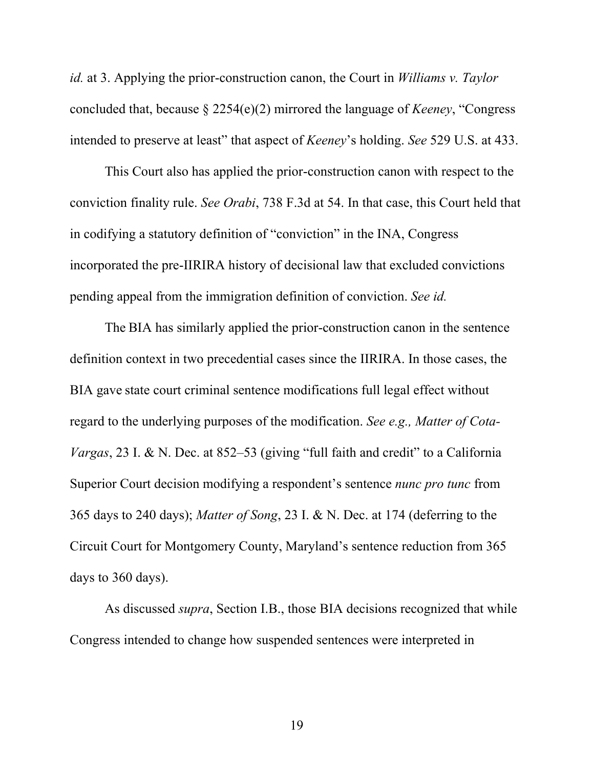*id.* at 3. Applying the prior-construction canon, the Court in *Williams v. Taylor*  concluded that, because § 2254(e)(2) mirrored the language of *Keeney*, "Congress intended to preserve at least" that aspect of *Keeney*'s holding. *See* 529 U.S. at 433.

This Court also has applied the prior-construction canon with respect to the conviction finality rule. *See Orabi*, 738 F.3d at 54. In that case, this Court held that in codifying a statutory definition of "conviction" in the INA, Congress incorporated the pre-IIRIRA history of decisional law that excluded convictions pending appeal from the immigration definition of conviction. *See id.*

The BIA has similarly applied the prior-construction canon in the sentence definition context in two precedential cases since the IIRIRA. In those cases, the BIA gave state court criminal sentence modifications full legal effect without regard to the underlying purposes of the modification. *See e.g., Matter of Cota-Vargas*, 23 I. & N. Dec. at 852–53 (giving "full faith and credit" to a California Superior Court decision modifying a respondent's sentence *nunc pro tunc* from 365 days to 240 days); *Matter of Song*, 23 I. & N. Dec. at 174 (deferring to the Circuit Court for Montgomery County, Maryland's sentence reduction from 365 days to 360 days).

As discussed *supra*, Section I.B., those BIA decisions recognized that while Congress intended to change how suspended sentences were interpreted in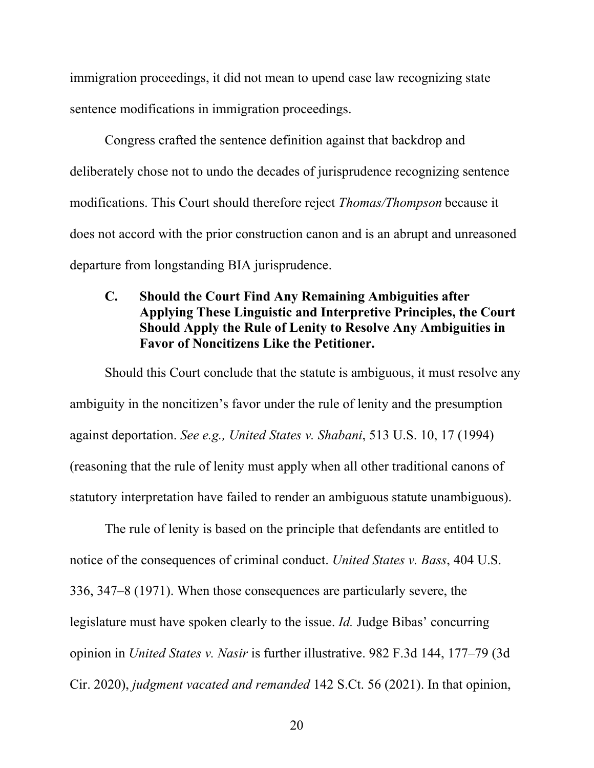immigration proceedings, it did not mean to upend case law recognizing state sentence modifications in immigration proceedings.

Congress crafted the sentence definition against that backdrop and deliberately chose not to undo the decades of jurisprudence recognizing sentence modifications. This Court should therefore reject *Thomas/Thompson* because it does not accord with the prior construction canon and is an abrupt and unreasoned departure from longstanding BIA jurisprudence.

## **C. Should the Court Find Any Remaining Ambiguities after Applying These Linguistic and Interpretive Principles, the Court Should Apply the Rule of Lenity to Resolve Any Ambiguities in Favor of Noncitizens Like the Petitioner.**

Should this Court conclude that the statute is ambiguous, it must resolve any ambiguity in the noncitizen's favor under the rule of lenity and the presumption against deportation. *See e.g., United States v. Shabani*, 513 U.S. 10, 17 (1994) (reasoning that the rule of lenity must apply when all other traditional canons of statutory interpretation have failed to render an ambiguous statute unambiguous).

The rule of lenity is based on the principle that defendants are entitled to notice of the consequences of criminal conduct. *United States v. Bass*, 404 U.S. 336, 347–8 (1971). When those consequences are particularly severe, the legislature must have spoken clearly to the issue. *Id.* Judge Bibas' concurring opinion in *United States v. Nasir* is further illustrative. 982 F.3d 144, 177–79 (3d Cir. 2020), *judgment vacated and remanded* 142 S.Ct. 56 (2021). In that opinion,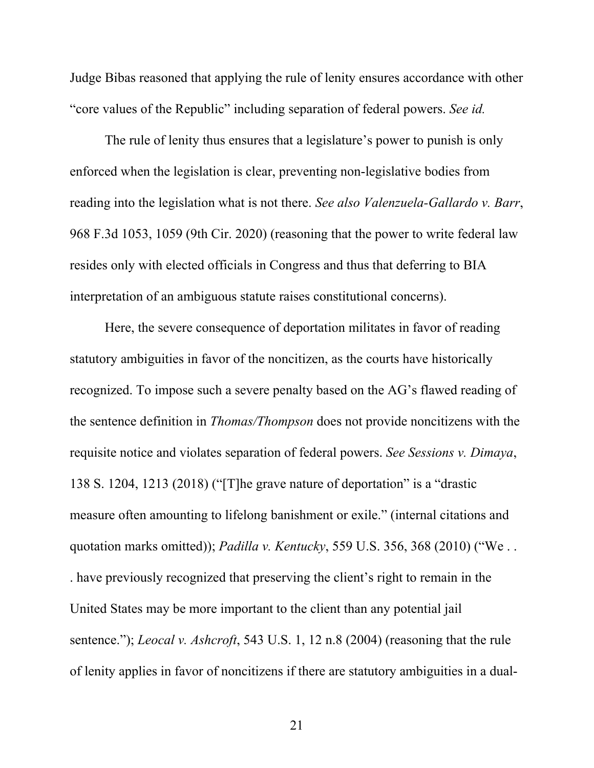Judge Bibas reasoned that applying the rule of lenity ensures accordance with other "core values of the Republic" including separation of federal powers. *See id.* 

The rule of lenity thus ensures that a legislature's power to punish is only enforced when the legislation is clear, preventing non-legislative bodies from reading into the legislation what is not there. *See also Valenzuela-Gallardo v. Barr*, 968 F.3d 1053, 1059 (9th Cir. 2020) (reasoning that the power to write federal law resides only with elected officials in Congress and thus that deferring to BIA interpretation of an ambiguous statute raises constitutional concerns).

Here, the severe consequence of deportation militates in favor of reading statutory ambiguities in favor of the noncitizen, as the courts have historically recognized. To impose such a severe penalty based on the AG's flawed reading of the sentence definition in *Thomas/Thompson* does not provide noncitizens with the requisite notice and violates separation of federal powers. *See Sessions v. Dimaya*, 138 S. 1204, 1213 (2018) ("[T]he grave nature of deportation" is a "drastic measure often amounting to lifelong banishment or exile." (internal citations and quotation marks omitted)); *Padilla v. Kentucky*, 559 U.S. 356, 368 (2010) ("We . . . have previously recognized that preserving the client's right to remain in the United States may be more important to the client than any potential jail sentence."); *Leocal v. Ashcroft*, 543 U.S. 1, 12 n.8 (2004) (reasoning that the rule of lenity applies in favor of noncitizens if there are statutory ambiguities in a dual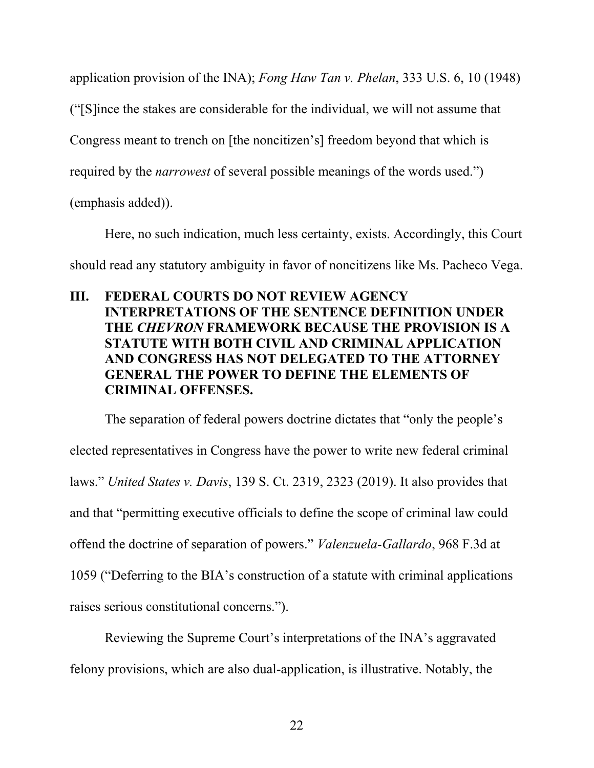application provision of the INA); *Fong Haw Tan v. Phelan*, 333 U.S. 6, 10 (1948)

("[S]ince the stakes are considerable for the individual, we will not assume that

Congress meant to trench on [the noncitizen's] freedom beyond that which is

required by the *narrowest* of several possible meanings of the words used.")

(emphasis added)).

Here, no such indication, much less certainty, exists. Accordingly, this Court should read any statutory ambiguity in favor of noncitizens like Ms. Pacheco Vega.

# **III. FEDERAL COURTS DO NOT REVIEW AGENCY INTERPRETATIONS OF THE SENTENCE DEFINITION UNDER THE** *CHEVRON* **FRAMEWORK BECAUSE THE PROVISION IS A STATUTE WITH BOTH CIVIL AND CRIMINAL APPLICATION AND CONGRESS HAS NOT DELEGATED TO THE ATTORNEY GENERAL THE POWER TO DEFINE THE ELEMENTS OF CRIMINAL OFFENSES.**

The separation of federal powers doctrine dictates that "only the people's elected representatives in Congress have the power to write new federal criminal laws." *United States v. Davis*, 139 S. Ct. 2319, 2323 (2019). It also provides that and that "permitting executive officials to define the scope of criminal law could offend the doctrine of separation of powers." *Valenzuela-Gallardo*, 968 F.3d at 1059 ("Deferring to the BIA's construction of a statute with criminal applications raises serious constitutional concerns.").

Reviewing the Supreme Court's interpretations of the INA's aggravated felony provisions, which are also dual-application, is illustrative. Notably, the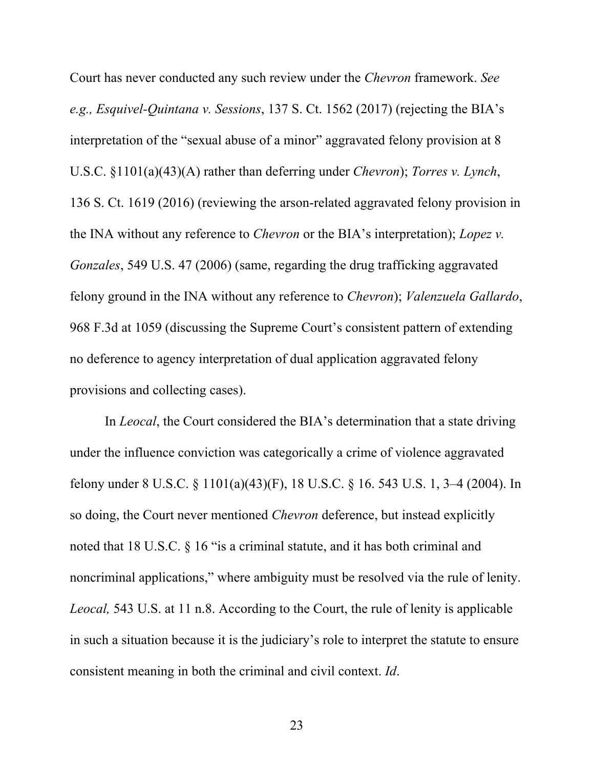Court has never conducted any such review under the *Chevron* framework. *See e.g., Esquivel-Quintana v. Sessions*, 137 S. Ct. 1562 (2017) (rejecting the BIA's interpretation of the "sexual abuse of a minor" aggravated felony provision at 8 U.S.C. §1101(a)(43)(A) rather than deferring under *Chevron*); *Torres v. Lynch*, 136 S. Ct. 1619 (2016) (reviewing the arson-related aggravated felony provision in the INA without any reference to *Chevron* or the BIA's interpretation); *Lopez v. Gonzales*, 549 U.S. 47 (2006) (same, regarding the drug trafficking aggravated felony ground in the INA without any reference to *Chevron*); *Valenzuela Gallardo*, 968 F.3d at 1059 (discussing the Supreme Court's consistent pattern of extending no deference to agency interpretation of dual application aggravated felony provisions and collecting cases).

In *Leocal*, the Court considered the BIA's determination that a state driving under the influence conviction was categorically a crime of violence aggravated felony under 8 U.S.C. § 1101(a)(43)(F), 18 U.S.C. § 16. 543 U.S. 1, 3–4 (2004). In so doing, the Court never mentioned *Chevron* deference, but instead explicitly noted that 18 U.S.C. § 16 "is a criminal statute, and it has both criminal and noncriminal applications," where ambiguity must be resolved via the rule of lenity. *Leocal,* 543 U.S. at 11 n.8. According to the Court, the rule of lenity is applicable in such a situation because it is the judiciary's role to interpret the statute to ensure consistent meaning in both the criminal and civil context. *Id*.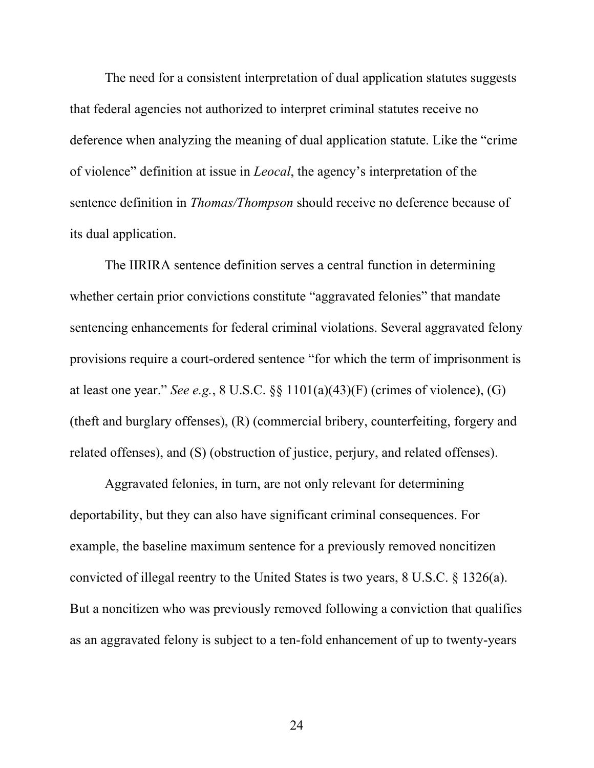The need for a consistent interpretation of dual application statutes suggests that federal agencies not authorized to interpret criminal statutes receive no deference when analyzing the meaning of dual application statute. Like the "crime of violence" definition at issue in *Leocal*, the agency's interpretation of the sentence definition in *Thomas/Thompson* should receive no deference because of its dual application.

The IIRIRA sentence definition serves a central function in determining whether certain prior convictions constitute "aggravated felonies" that mandate sentencing enhancements for federal criminal violations. Several aggravated felony provisions require a court-ordered sentence "for which the term of imprisonment is at least one year." *See e.g.*, 8 U.S.C. §§ 1101(a)(43)(F) (crimes of violence), (G) (theft and burglary offenses), (R) (commercial bribery, counterfeiting, forgery and related offenses), and (S) (obstruction of justice, perjury, and related offenses).

Aggravated felonies, in turn, are not only relevant for determining deportability, but they can also have significant criminal consequences. For example, the baseline maximum sentence for a previously removed noncitizen convicted of illegal reentry to the United States is two years, 8 U.S.C. § 1326(a). But a noncitizen who was previously removed following a conviction that qualifies as an aggravated felony is subject to a ten-fold enhancement of up to twenty-years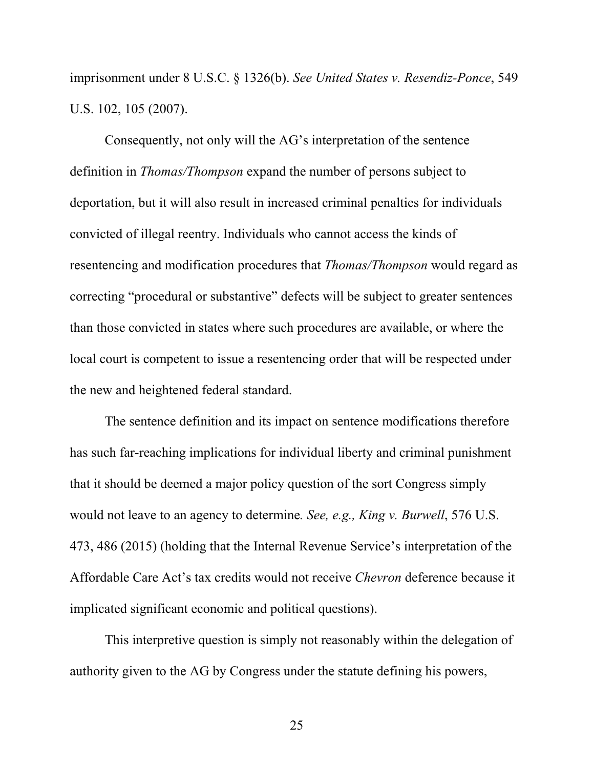imprisonment under 8 U.S.C. § 1326(b). *See United States v. Resendiz-Ponce*, 549 U.S. 102, 105 (2007).

Consequently, not only will the AG's interpretation of the sentence definition in *Thomas/Thompson* expand the number of persons subject to deportation, but it will also result in increased criminal penalties for individuals convicted of illegal reentry. Individuals who cannot access the kinds of resentencing and modification procedures that *Thomas/Thompson* would regard as correcting "procedural or substantive" defects will be subject to greater sentences than those convicted in states where such procedures are available, or where the local court is competent to issue a resentencing order that will be respected under the new and heightened federal standard.

The sentence definition and its impact on sentence modifications therefore has such far-reaching implications for individual liberty and criminal punishment that it should be deemed a major policy question of the sort Congress simply would not leave to an agency to determine*. See, e.g., King v. Burwell*, 576 U.S. 473, 486 (2015) (holding that the Internal Revenue Service's interpretation of the Affordable Care Act's tax credits would not receive *Chevron* deference because it implicated significant economic and political questions).

This interpretive question is simply not reasonably within the delegation of authority given to the AG by Congress under the statute defining his powers,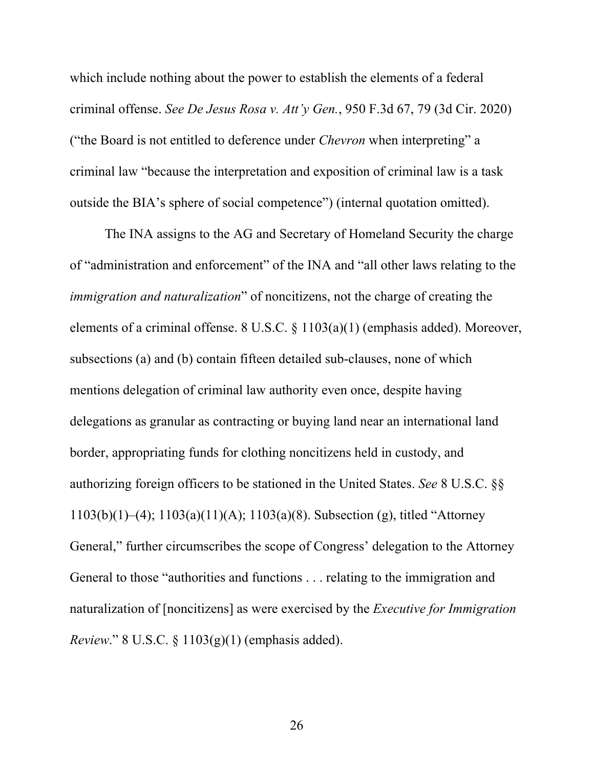which include nothing about the power to establish the elements of a federal criminal offense. *See De Jesus Rosa v. Att'y Gen.*, 950 F.3d 67, 79 (3d Cir. 2020) ("the Board is not entitled to deference under *Chevron* when interpreting" a criminal law "because the interpretation and exposition of criminal law is a task outside the BIA's sphere of social competence") (internal quotation omitted).

The INA assigns to the AG and Secretary of Homeland Security the charge of "administration and enforcement" of the INA and "all other laws relating to the *immigration and naturalization*" of noncitizens, not the charge of creating the elements of a criminal offense. 8 U.S.C. § 1103(a)(1) (emphasis added). Moreover, subsections (a) and (b) contain fifteen detailed sub-clauses, none of which mentions delegation of criminal law authority even once, despite having delegations as granular as contracting or buying land near an international land border, appropriating funds for clothing noncitizens held in custody, and authorizing foreign officers to be stationed in the United States. *See* 8 U.S.C. §§ 1103(b)(1)–(4); 1103(a)(11)(A); 1103(a)(8). Subsection (g), titled "Attorney General," further circumscribes the scope of Congress' delegation to the Attorney General to those "authorities and functions . . . relating to the immigration and naturalization of [noncitizens] as were exercised by the *Executive for Immigration Review*." 8 U.S.C. § 1103(g)(1) (emphasis added).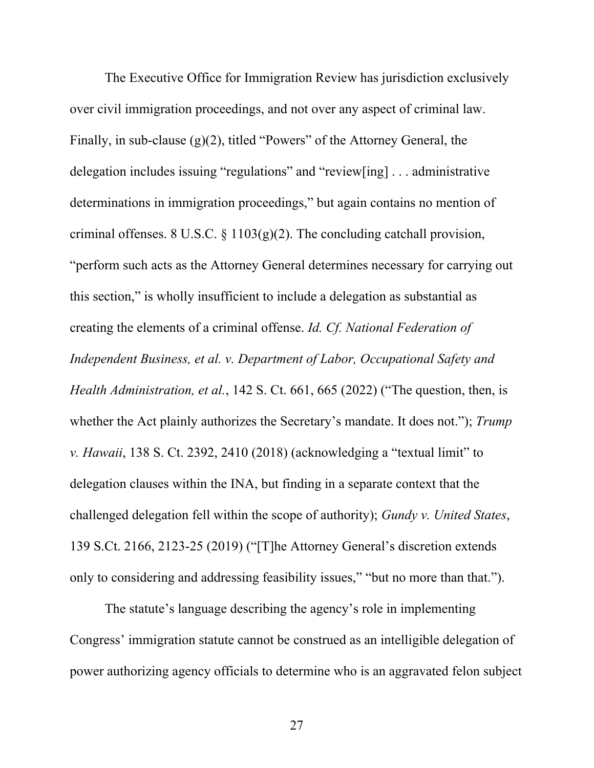The Executive Office for Immigration Review has jurisdiction exclusively over civil immigration proceedings, and not over any aspect of criminal law. Finally, in sub-clause  $(g)(2)$ , titled "Powers" of the Attorney General, the delegation includes issuing "regulations" and "review[ing] . . . administrative determinations in immigration proceedings," but again contains no mention of criminal offenses. 8 U.S.C.  $\S 1103(g)(2)$ . The concluding catchall provision, "perform such acts as the Attorney General determines necessary for carrying out this section," is wholly insufficient to include a delegation as substantial as creating the elements of a criminal offense. *Id. Cf. National Federation of Independent Business, et al. v. Department of Labor, Occupational Safety and Health Administration, et al.*, 142 S. Ct. 661, 665 (2022) ("The question, then, is whether the Act plainly authorizes the Secretary's mandate. It does not."); *Trump v. Hawaii*, 138 S. Ct. 2392, 2410 (2018) (acknowledging a "textual limit" to delegation clauses within the INA, but finding in a separate context that the challenged delegation fell within the scope of authority); *Gundy v. United States*, 139 S.Ct. 2166, 2123-25 (2019) ("[T]he Attorney General's discretion extends only to considering and addressing feasibility issues," "but no more than that.").

The statute's language describing the agency's role in implementing Congress' immigration statute cannot be construed as an intelligible delegation of power authorizing agency officials to determine who is an aggravated felon subject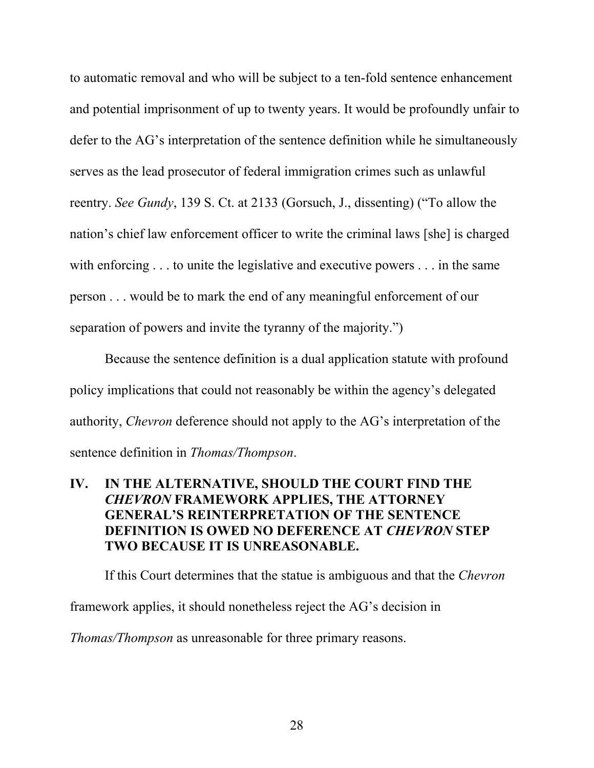to automatic removal and who will be subject to a ten-fold sentence enhancement and potential imprisonment of up to twenty years. It would be profoundly unfair to defer to the AG's interpretation of the sentence definition while he simultaneously serves as the lead prosecutor of federal immigration crimes such as unlawful reentry. *See Gundy*, 139 S. Ct. at 2133 (Gorsuch, J., dissenting) ("To allow the nation's chief law enforcement officer to write the criminal laws [she] is charged with enforcing . . . to unite the legislative and executive powers . . . in the same person . . . would be to mark the end of any meaningful enforcement of our separation of powers and invite the tyranny of the majority.")

Because the sentence definition is a dual application statute with profound policy implications that could not reasonably be within the agency's delegated authority, *Chevron* deference should not apply to the AG's interpretation of the sentence definition in *Thomas/Thompson*.

## **IV. IN THE ALTERNATIVE, SHOULD THE COURT FIND THE**  *CHEVRON* **FRAMEWORK APPLIES, THE ATTORNEY GENERAL'S REINTERPRETATION OF THE SENTENCE DEFINITION IS OWED NO DEFERENCE AT** *CHEVRON* **STEP TWO BECAUSE IT IS UNREASONABLE.**

If this Court determines that the statue is ambiguous and that the *Chevron* framework applies, it should nonetheless reject the AG's decision in *Thomas/Thompson* as unreasonable for three primary reasons.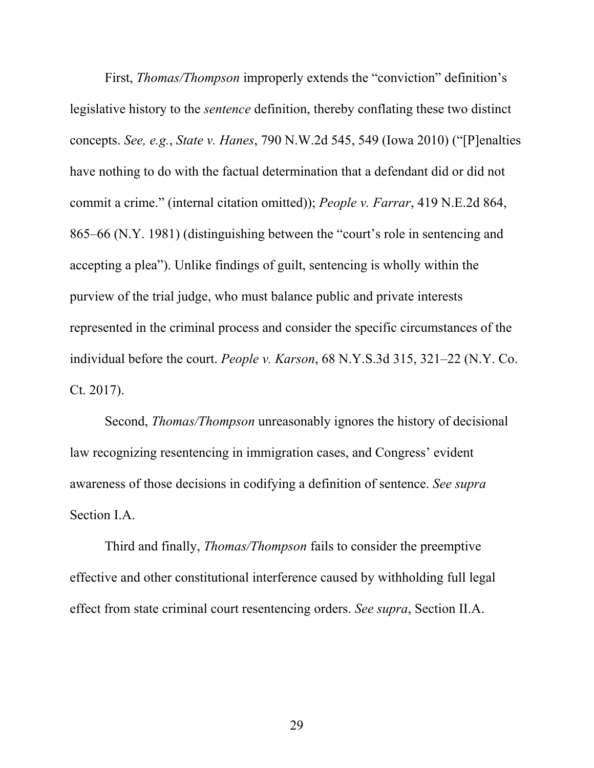First, *Thomas/Thompson* improperly extends the "conviction" definition's legislative history to the *sentence* definition, thereby conflating these two distinct concepts. *See, e.g.*, *State v. Hanes*, 790 N.W.2d 545, 549 (Iowa 2010) ("[P]enalties have nothing to do with the factual determination that a defendant did or did not commit a crime." (internal citation omitted)); *People v. Farrar*, 419 N.E.2d 864, 865–66 (N.Y. 1981) (distinguishing between the "court's role in sentencing and accepting a plea"). Unlike findings of guilt, sentencing is wholly within the purview of the trial judge, who must balance public and private interests represented in the criminal process and consider the specific circumstances of the individual before the court. *People v. Karson*, 68 N.Y.S.3d 315, 321–22 (N.Y. Co. Ct. 2017).

Second, *Thomas/Thompson* unreasonably ignores the history of decisional law recognizing resentencing in immigration cases, and Congress' evident awareness of those decisions in codifying a definition of sentence. *See supra* Section I.A.

Third and finally, *Thomas/Thompson* fails to consider the preemptive effective and other constitutional interference caused by withholding full legal effect from state criminal court resentencing orders. *See supra*, Section II.A.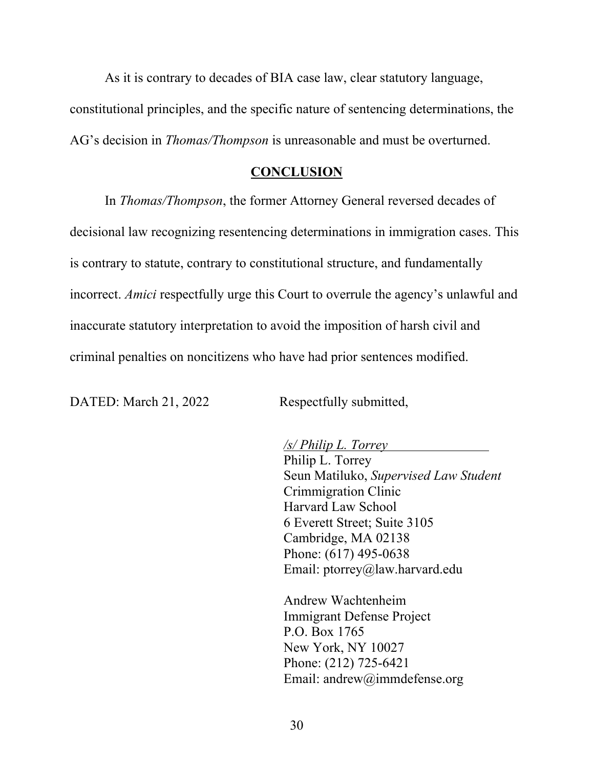As it is contrary to decades of BIA case law, clear statutory language, constitutional principles, and the specific nature of sentencing determinations, the AG's decision in *Thomas/Thompson* is unreasonable and must be overturned.

#### **CONCLUSION**

In *Thomas/Thompson*, the former Attorney General reversed decades of decisional law recognizing resentencing determinations in immigration cases. This is contrary to statute, contrary to constitutional structure, and fundamentally incorrect. *Amici* respectfully urge this Court to overrule the agency's unlawful and inaccurate statutory interpretation to avoid the imposition of harsh civil and criminal penalties on noncitizens who have had prior sentences modified.

DATED: March 21, 2022 Respectfully submitted,

*/s/ Philip L. Torrey* 

Philip L. Torrey Seun Matiluko, *Supervised Law Student* Crimmigration Clinic Harvard Law School 6 Everett Street; Suite 3105 Cambridge, MA 02138 Phone: (617) 495-0638 Email: ptorrey@law.harvard.edu

Andrew Wachtenheim Immigrant Defense Project P.O. Box 1765 New York, NY 10027 Phone: (212) 725-6421 Email: andrew@immdefense.org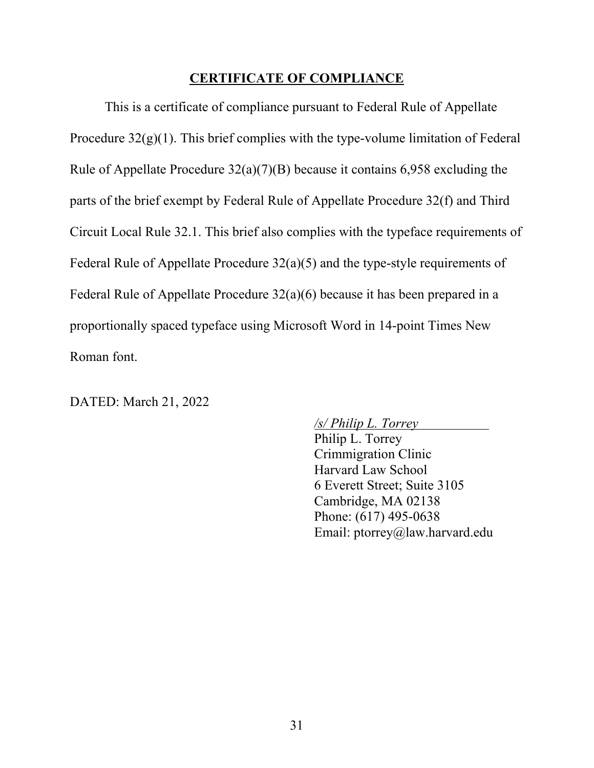#### **CERTIFICATE OF COMPLIANCE**

This is a certificate of compliance pursuant to Federal Rule of Appellate Procedure  $32(g)(1)$ . This brief complies with the type-volume limitation of Federal Rule of Appellate Procedure 32(a)(7)(B) because it contains 6,958 excluding the parts of the brief exempt by Federal Rule of Appellate Procedure 32(f) and Third Circuit Local Rule 32.1. This brief also complies with the typeface requirements of Federal Rule of Appellate Procedure 32(a)(5) and the type-style requirements of Federal Rule of Appellate Procedure 32(a)(6) because it has been prepared in a proportionally spaced typeface using Microsoft Word in 14-point Times New Roman font.

DATED: March 21, 2022

*/s/ Philip L. Torrey*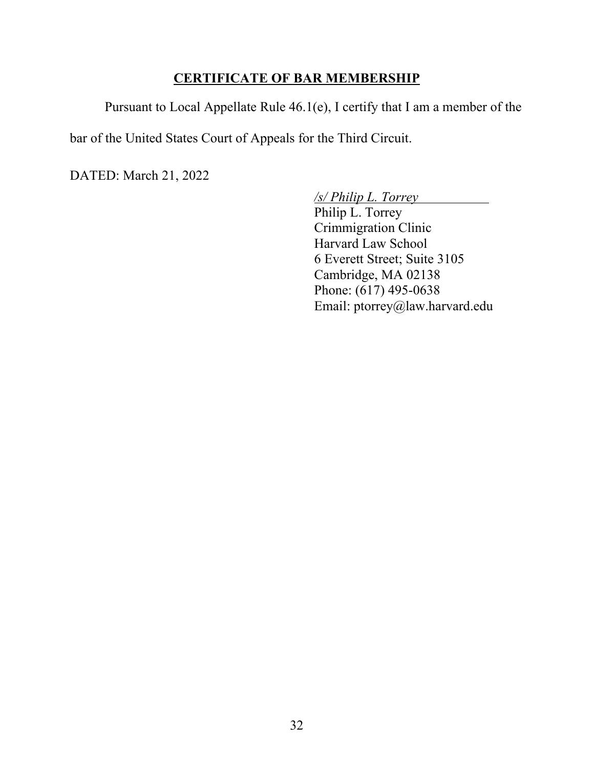#### **CERTIFICATE OF BAR MEMBERSHIP**

Pursuant to Local Appellate Rule 46.1(e), I certify that I am a member of the

bar of the United States Court of Appeals for the Third Circuit.

DATED: March 21, 2022

*/s/ Philip L. Torrey*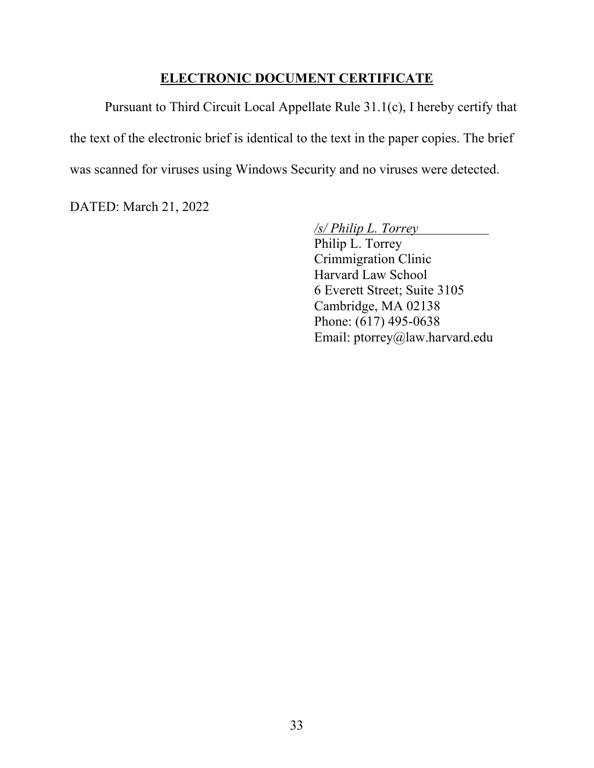#### **ELECTRONIC DOCUMENT CERTIFICATE**

Pursuant to Third Circuit Local Appellate Rule 31.1(c), I hereby certify that the text of the electronic brief is identical to the text in the paper copies. The brief was scanned for viruses using Windows Security and no viruses were detected.

DATED: March 21, 2022

*/s/ Philip L. Torrey*